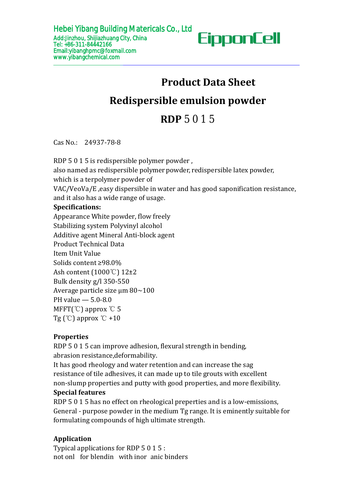

# **Product Data Sheet Redispersible emulsion powder** <sup>Is Co., Ltd</sup><br> **EipponCell**<br> **Product Data Sheet**<br> **ible emulsion powder<br>
RDP 5 0 1 5<br>
Prowder. Redispersible emulsion powder<br>RDP** 5 0 1 5<br>Cas No.: 24937-78-8<br>RDP 5 0 1 5 is redispersible polymer powder,<br>also named as redispersible polymer powder, redispersible latex powder,<br>which is a terpolymer powder of<br>VAC/VeoVa **Redispersible emulsion powder**<br> **RDP** 5 0 1 5<br>
Cas No.: 24937-78-8<br>
RDP 5 0 1 5 is redispersible polymer powder,<br>
also named as redispersible polymer powder,<br>
which is a terpolymer powder of<br>
VAC/VeoVa/E, easy dispersible

Cas No.: 24937-78-8

# **Specifications:**

Appearance White powder, flow freely Stabilizing system Polyvinyl alcohol Additive agent Mineral Anti-block agent Product Technical Data Item Unit Value Solids content ≥98.0% Ash content (1000℃) 12±2 Bulk density g/l350-550 Average particle size μm 80~100 PH value — 5.0-8.0 MFFT(℃) approx ℃ 5 Tg  $\degree$  approx  $\degree$ C +10 **RDP** 5 0 1 5<br>
Cas No.: 24937-78-8<br>
RDP 5 0 1 5 is redispersible polymer powder,<br>
RDP 5 0 1 5 is redispersible polymer powder, redispersible lat<br>
which is a terpolymer powder of<br>
VAC/VeoVa/E, easy dispersible in water and **RDP** 5 0 1 5<br>
Cas No.: 24937-78-8<br>
RDP 5 0 1 5 is redispersible polymer powder ,<br>
also named as redispersible polymer powder, redispersible latex powder,<br>
which is a terpolymer powder of<br>
VAC/VeoVa/E ,easy dispersible in **EXECUTE 1989**<br> **EXECUTE:** Cas No.: 24937-78-8<br>
RDP 5 0 1 5 is redispersible polymer powder, redispersible lat<br>
which is a terpolymer powder of<br>
VAC/VeoVa/E, easy dispersible in water and has good saponi<br>
and it also has a Bulk density g/l 350-550<br>
Average particle size  $\mu$ m 80~100<br>
PH value  $-$  5.0-8.0<br>
MFFT(°C) approx °C 5<br>
Tg (°C) approx °C +10<br> **Properties**<br>
RDP 5 0 1 5 can improve adhesion, flexural<br>
abrasion resistance,deformability. Average particle size  $\mu$ m 80~100<br>
PH value  $-$  5.0-8.0<br>
MFFT(°C) approx °C 5<br>
Tg (°C) approx °C +10<br> **Properties**<br>
RDP 5 0 1 5 can improve adhesion, flex<br>
abrasion resistance, deformability.<br>
It has good rheology and wa

# **Properties**

Ash content (1000°C) 12±2<br>
Bulk density g/l 350-550<br>
Average particle size µm 80~100<br>
PH value  $-$  5.0-8.0<br>
MFFT(°C) approx °C +10<br> **Properties**<br>
RDP 5 0 1 5 can improve adhesion, flexural strength in bending,<br>
abrasion r Average particle size µm 80~100<br>
PH value  $-$  5.0-8.0<br>
MFFT(°C) approx °C +10<br> **Properties**<br>
RDP 5 0 1 5 can improve adhesion, flexural strength in bending,<br>
abrasion resistance,deformability.<br>
It has good rheology and wat PH value — 5.0-8.0<br>
MFFT(°C) approx °C 5<br>
Tg (°C) approx °C +10<br> **Properties**<br>
RDP 5 0 15 can improve adhesion, flexural strength in bending,<br>
abrasion resistance,deformability.<br>
It has good rheology and water retention an MFFT(°C) approx °C 5<br>Tg (°C) approx °C +10<br>**Properties**<br>RDP 5 0 1 5 can improve adhesion, flexural strength in bending,<br>abrasion resistance,deformability.<br>It has good rheology and water retention and can increase the sag<br>r **Properties**<br>RDP 5 0 1 5 can improve adhesion, flexural strength in bending,<br>abrasion resistance,deformability.<br>It has good rheology and water retention and can increase the sag<br>resistance of tile adhesives, it can made up **Properties**<br>RDP 5 0 1 5 can improve adhesion, flexural strength in bending,<br>abrasion resistance,deformability.<br>It has good rheology and water retention and can increase the sag<br>resistance of tile adhesives, it can made up RDP 5 0 1 5 can improve adhesion, flexural strength in bending,<br>abrasion resistance, deformability.<br>It has good rheology and water retention and can increase the sag<br>resistance of tile adhesives, it can made up to tile gro

resistance of tile adhesives, it can made up to tile grouts with excell<br>non-slump properties and putty with good properties, and more fle<br>**Special features**<br>RDP 5 0 1 5 has no effect on rheological preperties and is a low-

# **Application**

not onl for blendin with inor anic binders